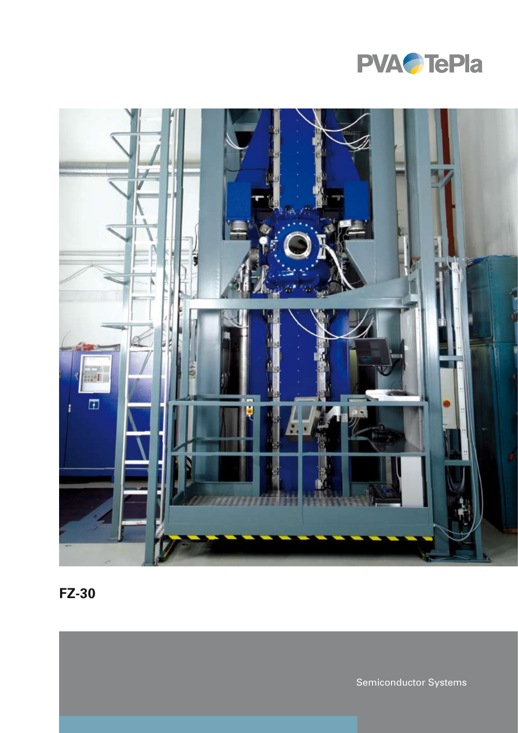



**FZ-30**

Semiconductor Systems